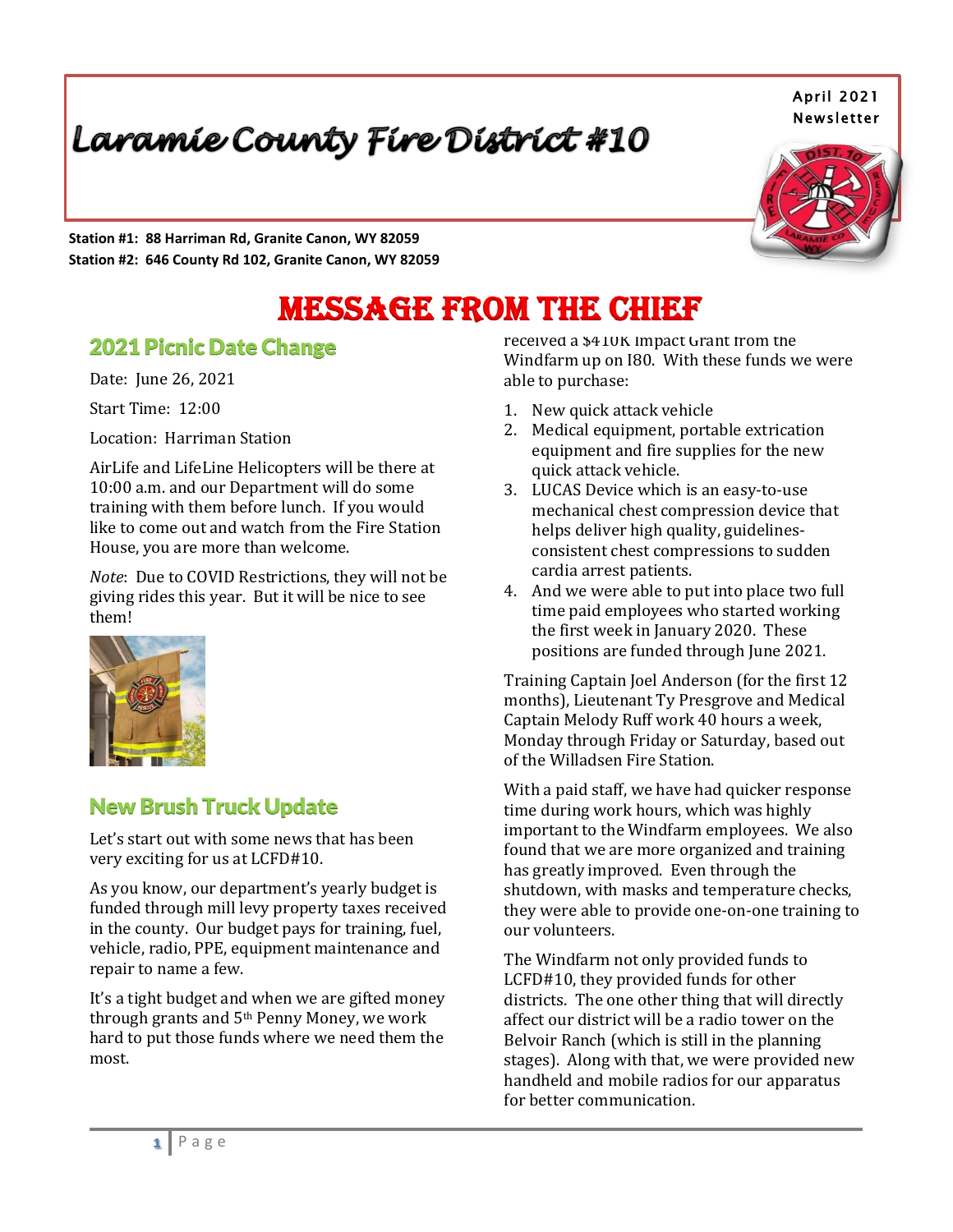# Laramie County Fire District #10

April 2021 Newsletter



**Station #1: 88 Harriman Rd, Granite Canon, WY 82059 Station #2: 646 County Rd 102, Granite Canon, WY 82059**

MESSAGE FROM THE CHIEF

### 2021 Picnic Date Change

Date: June 26, 2021

Start Time: 12:00

Location: Harriman Station

AirLife and LifeLine Helicopters will be there at 10:00 a.m. and our Department will do some training with them before lunch. If you would like to come out and watch from the Fire Station House, you are more than welcome.

*Note*: Due to COVID Restrictions, they will not be giving rides this year. But it will be nice to see them!



#### New Brush Truck Update

Let's start out with some news that has been very exciting for us at LCFD#10.

As you know, our department's yearly budget is funded through mill levy property taxes received in the county. Our budget pays for training, fuel, vehicle, radio, PPE, equipment maintenance and repair to name a few.

It's a tight budget and when we are gifted money through grants and 5th Penny Money, we work hard to put those funds where we need them the most.

received a \$410K Impact Grant from the Windfarm up on I80. With these funds we were able to purchase:

- 1. New quick attack vehicle
- 2. Medical equipment, portable extrication equipment and fire supplies for the new quick attack vehicle.
- 3. LUCAS Device which is an easy-to-use mechanical chest compression device that helps deliver high quality, guidelinesconsistent chest compressions to sudden cardia arrest patients.
- 4. And we were able to put into place two full time paid employees who started working the first week in January 2020. These positions are funded through June 2021.

Training Captain Joel Anderson (for the first 12 months), Lieutenant Ty Presgrove and Medical Captain Melody Ruff work 40 hours a week, Monday through Friday or Saturday, based out of the Willadsen Fire Station.

With a paid staff, we have had quicker response time during work hours, which was highly important to the Windfarm employees. We also found that we are more organized and training has greatly improved. Even through the shutdown, with masks and temperature checks, they were able to provide one-on-one training to our volunteers.

The Windfarm not only provided funds to LCFD#10, they provided funds for other districts. The one other thing that will directly affect our district will be a radio tower on the Belvoir Ranch (which is still in the planning stages). Along with that, we were provided new handheld and mobile radios for our apparatus for better communication.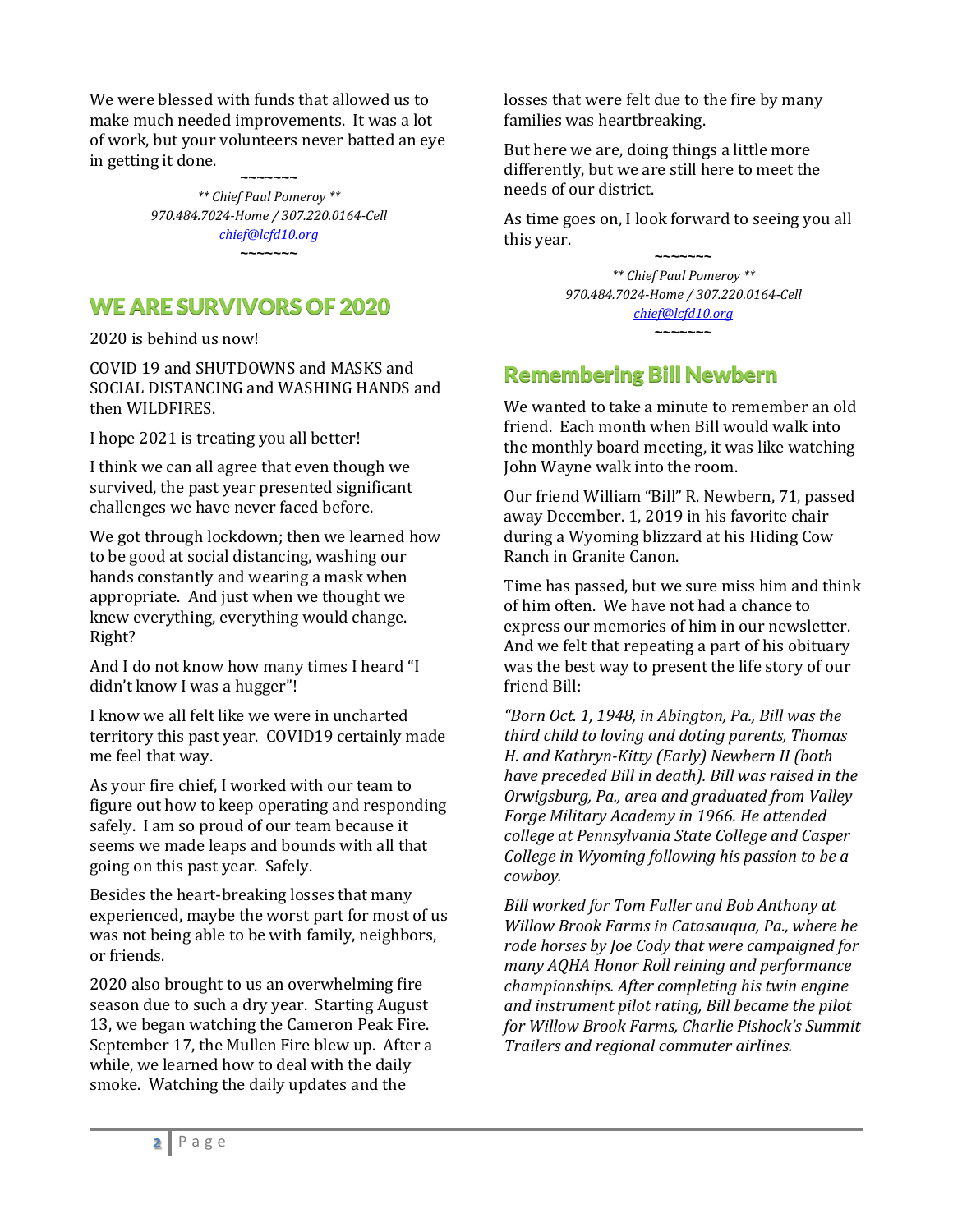We were blessed with funds that allowed us to make much needed improvements. It was a lot of work, but your volunteers never batted an eye in getting it done.

> **~~~~~~~** *\*\* Chief Paul Pomeroy \*\* 970.484.7024-Home / 307.220.0164-Cell [chief@lcfd10.org](mailto:chief@lcfd10.org)* **~~~~~~~**

### WE ARE SURVIVORS OF 2020

2020 is behind us now!

COVID 19 and SHUTDOWNS and MASKS and SOCIAL DISTANCING and WASHING HANDS and then WILDFIRES.

I hope 2021 is treating you all better!

I think we can all agree that even though we survived, the past year presented significant challenges we have never faced before.

We got through lockdown; then we learned how to be good at social distancing, washing our hands constantly and wearing a mask when appropriate. And just when we thought we knew everything, everything would change. Right?

And I do not know how many times I heard "I didn't know I was a hugger"!

I know we all felt like we were in uncharted territory this past year. COVID19 certainly made me feel that way.

As your fire chief, I worked with our team to figure out how to keep operating and responding safely. I am so proud of our team because it seems we made leaps and bounds with all that going on this past year. Safely.

Besides the heart-breaking losses that many experienced, maybe the worst part for most of us was not being able to be with family, neighbors, or friends.

2020 also brought to us an overwhelming fire season due to such a dry year. Starting August 13, we began watching the Cameron Peak Fire. September 17, the Mullen Fire blew up. After a while, we learned how to deal with the daily smoke. Watching the daily updates and the

losses that were felt due to the fire by many families was heartbreaking.

But here we are, doing things a little more differently, but we are still here to meet the needs of our district.

As time goes on, I look forward to seeing you all this year.

> **~~~~~~~** *\*\* Chief Paul Pomeroy \*\* 970.484.7024-Home / 307.220.0164-Cell [chief@lcfd10.org](mailto:chief@lcfd10.org)* **~~~~~~~**

### Remembering Bill Newbern

We wanted to take a minute to remember an old friend. Each month when Bill would walk into the monthly board meeting, it was like watching John Wayne walk into the room.

Our friend William "Bill" R. Newbern, 71, passed away December. 1, 2019 in his favorite chair during a Wyoming blizzard at his Hiding Cow Ranch in Granite Canon.

Time has passed, but we sure miss him and think of him often. We have not had a chance to express our memories of him in our newsletter. And we felt that repeating a part of his obituary was the best way to present the life story of our friend Bill:

*"Born Oct. 1, 1948, in Abington, Pa., Bill was the third child to loving and doting parents, Thomas H. and Kathryn-Kitty (Early) Newbern II (both have preceded Bill in death). Bill was raised in the Orwigsburg, Pa., area and graduated from Valley Forge Military Academy in 1966. He attended college at Pennsylvania State College and Casper College in Wyoming following his passion to be a cowboy.*

*Bill worked for Tom Fuller and Bob Anthony at Willow Brook Farms in Catasauqua, Pa., where he rode horses by Joe Cody that were campaigned for many AQHA Honor Roll reining and performance championships. After completing his twin engine and instrument pilot rating, Bill became the pilot for Willow Brook Farms, Charlie Pishock's Summit Trailers and regional commuter airlines.*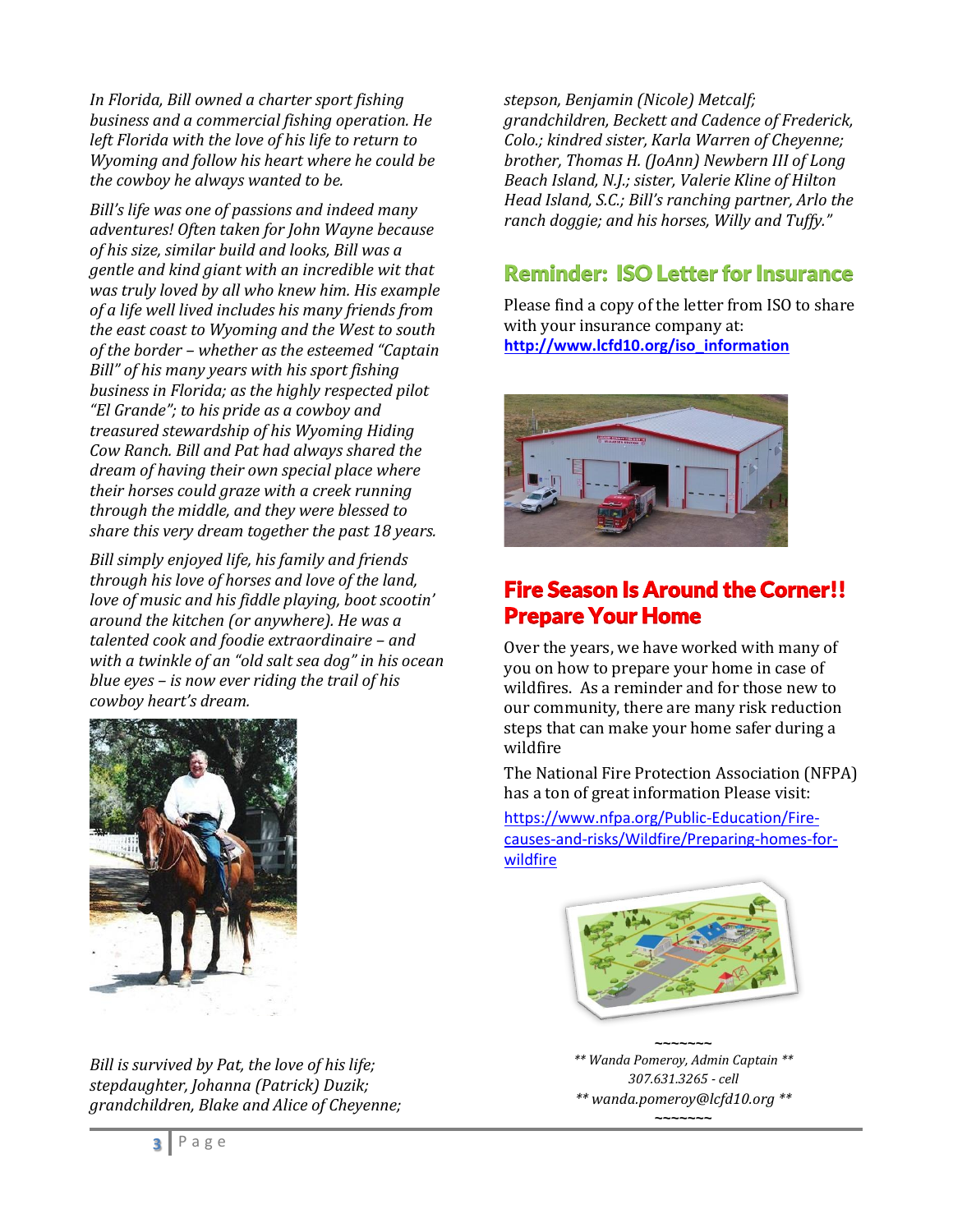*In Florida, Bill owned a charter sport fishing business and a commercial fishing operation. He left Florida with the love of his life to return to Wyoming and follow his heart where he could be the cowboy he always wanted to be.*

*Bill's life was one of passions and indeed many adventures! Often taken for John Wayne because of his size, similar build and looks, Bill was a gentle and kind giant with an incredible wit that was truly loved by all who knew him. His example of a life well lived includes his many friends from the east coast to Wyoming and the West to south of the border – whether as the esteemed "Captain Bill" of his many years with his sport fishing business in Florida; as the highly respected pilot "El Grande"; to his pride as a cowboy and treasured stewardship of his Wyoming Hiding Cow Ranch. Bill and Pat had always shared the dream of having their own special place where their horses could graze with a creek running through the middle, and they were blessed to share this very dream together the past 18 years.*

*Bill simply enjoyed life, his family and friends through his love of horses and love of the land, love of music and his fiddle playing, boot scootin' around the kitchen (or anywhere). He was a talented cook and foodie extraordinaire – and with a twinkle of an "old salt sea dog" in his ocean blue eyes – is now ever riding the trail of his cowboy heart's dream.*



*Bill is survived by Pat, the love of his life; stepdaughter, Johanna (Patrick) Duzik; grandchildren, Blake and Alice of Cheyenne;* 

*stepson, Benjamin (Nicole) Metcalf; grandchildren, Beckett and Cadence of Frederick, Colo.; kindred sister, Karla Warren of Cheyenne; brother, Thomas H. (JoAnn) Newbern III of Long Beach Island, N.J.; sister, Valerie Kline of Hilton Head Island, S.C.; Bill's ranching partner, Arlo the ranch doggie; and his horses, Willy and Tuffy."*

#### Reminder: ISO Letter for Insurance

Please find a copy of the letter from ISO to share with your insurance company at: **[http://www.lcfd10.org/iso\\_information](http://www.lcfd10.org/iso_information)**



### Fire Season Is Around the Corner!! Prepare Your Home

Over the years, we have worked with many of you on how to prepare your home in case of wildfires. As a reminder and for those new to our community, there are many risk reduction steps that can make your home safer during a wildfire

The National Fire Protection Association (NFPA) has a ton of great information Please visit:

[https://www.nfpa.org/Public-Education/Fire](https://www.nfpa.org/Public-Education/Fire-causes-and-risks/Wildfire/Preparing-homes-for-wildfire)[causes-and-risks/Wildfire/Preparing-homes-for](https://www.nfpa.org/Public-Education/Fire-causes-and-risks/Wildfire/Preparing-homes-for-wildfire)[wildfire](https://www.nfpa.org/Public-Education/Fire-causes-and-risks/Wildfire/Preparing-homes-for-wildfire)



**~~~~~~~** *\*\* Wanda Pomeroy, Admin Captain \*\* 307.631.3265 - cell \*\* wanda.pomeroy@lcfd10.org \*\** **~~~~~~~**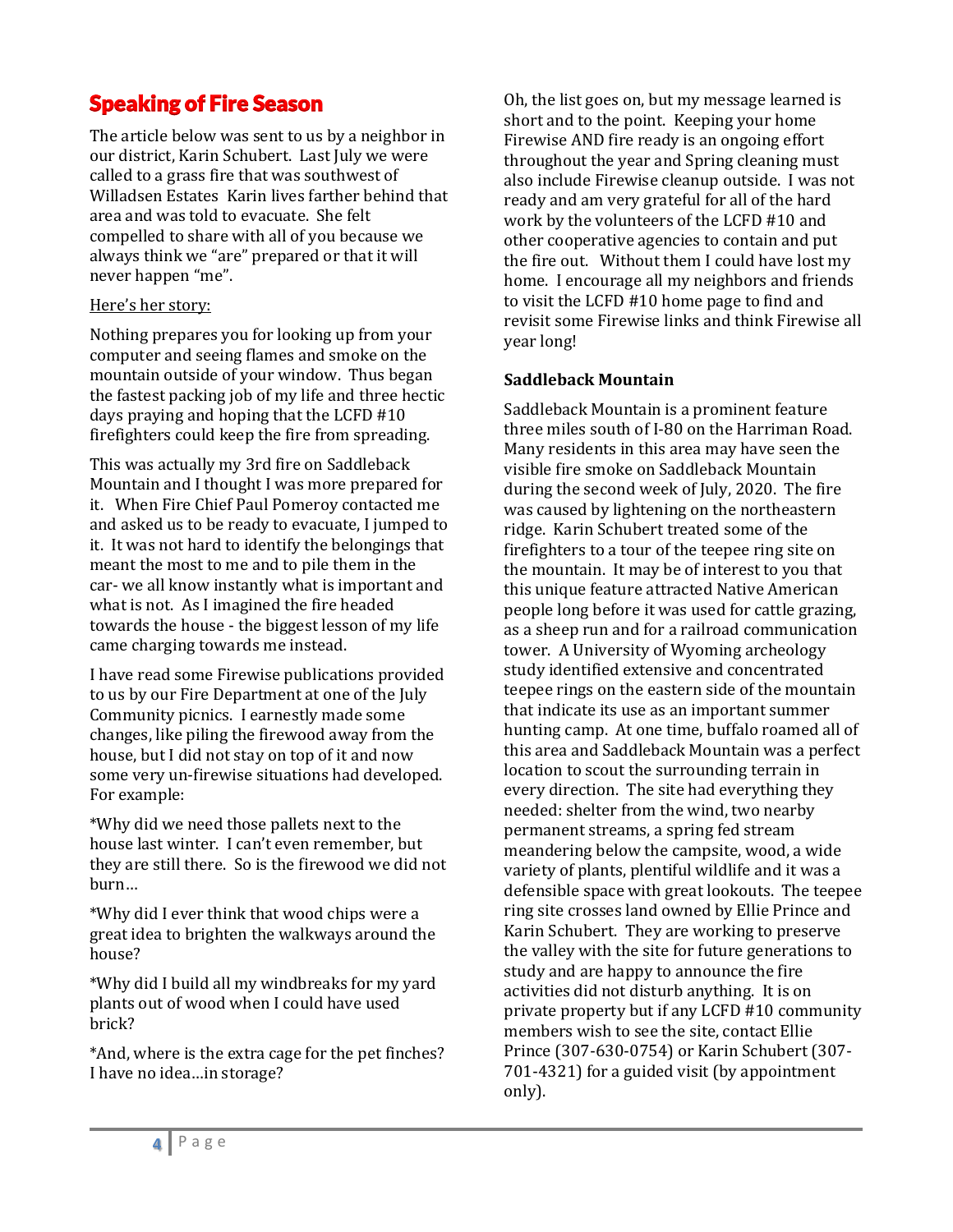### Speaking of Fire Season

The article below was sent to us by a neighbor in our district, Karin Schubert. Last July we were called to a grass fire that was southwest of Willadsen Estates Karin lives farther behind that area and was told to evacuate. She felt compelled to share with all of you because we always think we "are" prepared or that it will never happen "me".

#### Here's her story:

Nothing prepares you for looking up from your computer and seeing flames and smoke on the mountain outside of your window. Thus began the fastest packing job of my life and three hectic days praying and hoping that the LCFD #10 firefighters could keep the fire from spreading.

This was actually my 3rd fire on Saddleback Mountain and I thought I was more prepared for it. When Fire Chief Paul Pomeroy contacted me and asked us to be ready to evacuate, I jumped to it. It was not hard to identify the belongings that meant the most to me and to pile them in the car- we all know instantly what is important and what is not. As I imagined the fire headed towards the house - the biggest lesson of my life came charging towards me instead.

I have read some Firewise publications provided to us by our Fire Department at one of the July Community picnics. I earnestly made some changes, like piling the firewood away from the house, but I did not stay on top of it and now some very un-firewise situations had developed. For example:

\*Why did we need those pallets next to the house last winter. I can't even remember, but they are still there. So is the firewood we did not burn…

\*Why did I ever think that wood chips were a great idea to brighten the walkways around the house?

\*Why did I build all my windbreaks for my yard plants out of wood when I could have used brick?

\*And, where is the extra cage for the pet finches? I have no idea…in storage?

Oh, the list goes on, but my message learned is short and to the point. Keeping your home Firewise AND fire ready is an ongoing effort throughout the year and Spring cleaning must also include Firewise cleanup outside. I was not ready and am very grateful for all of the hard work by the volunteers of the LCFD #10 and other cooperative agencies to contain and put the fire out. Without them I could have lost my home. I encourage all my neighbors and friends to visit the LCFD #10 home page to find and revisit some Firewise links and think Firewise all year long!

#### **Saddleback Mountain**

Saddleback Mountain is a prominent feature three miles south of I-80 on the Harriman Road. Many residents in this area may have seen the visible fire smoke on Saddleback Mountain during the second week of July, 2020. The fire was caused by lightening on the northeastern ridge. Karin Schubert treated some of the firefighters to a tour of the teepee ring site on the mountain. It may be of interest to you that this unique feature attracted Native American people long before it was used for cattle grazing, as a sheep run and for a railroad communication tower. A University of Wyoming archeology study identified extensive and concentrated teepee rings on the eastern side of the mountain that indicate its use as an important summer hunting camp. At one time, buffalo roamed all of this area and Saddleback Mountain was a perfect location to scout the surrounding terrain in every direction. The site had everything they needed: shelter from the wind, two nearby permanent streams, a spring fed stream meandering below the campsite, wood, a wide variety of plants, plentiful wildlife and it was a defensible space with great lookouts. The teepee ring site crosses land owned by Ellie Prince and Karin Schubert. They are working to preserve the valley with the site for future generations to study and are happy to announce the fire activities did not disturb anything. It is on private property but if any LCFD #10 community members wish to see the site, contact Ellie Prince (307-630-0754) or Karin Schubert (307- 701-4321) for a guided visit (by appointment only).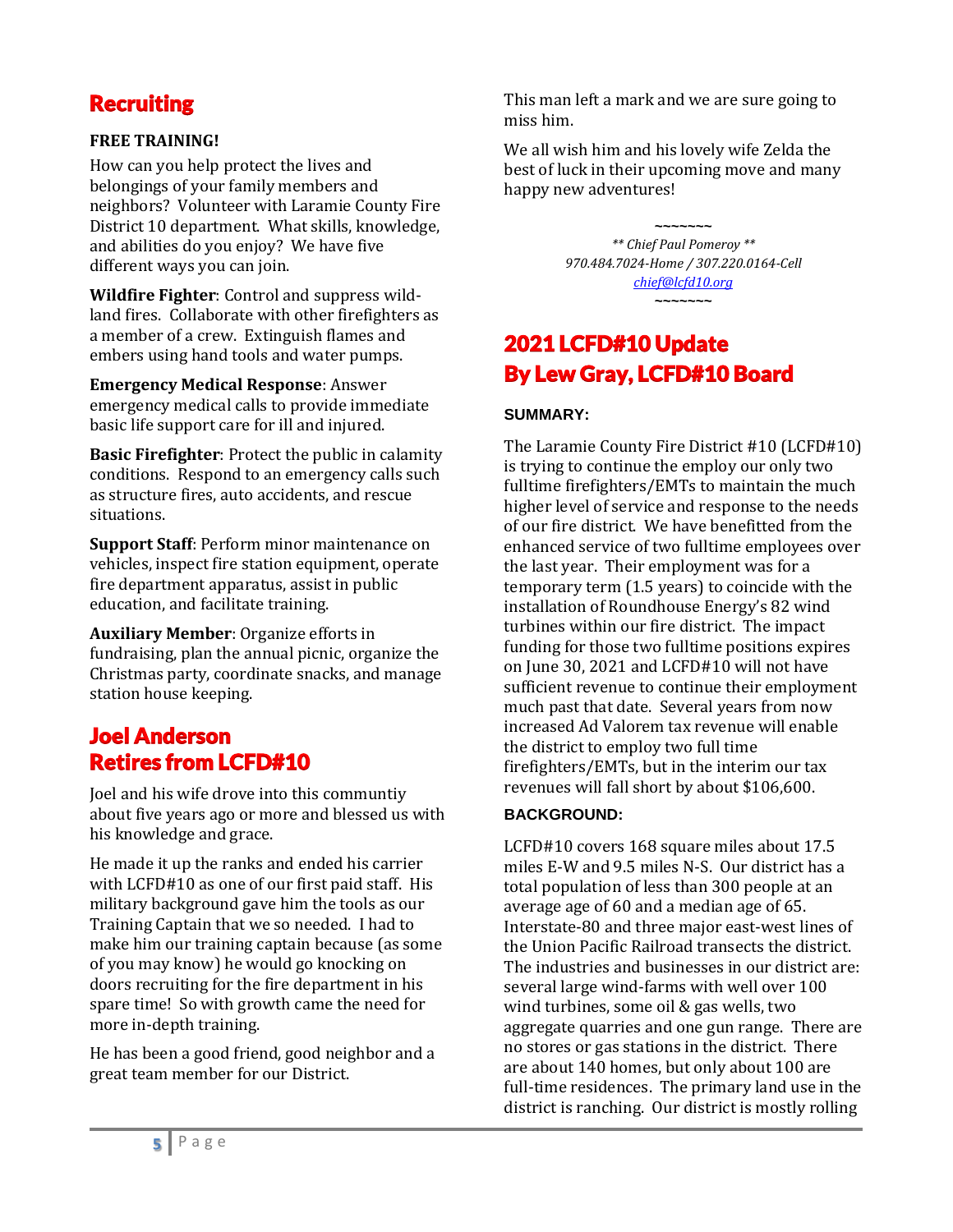### **Recruiting**

#### **FREE TRAINING!**

How can you help protect the lives and belongings of your family members and neighbors? Volunteer with Laramie County Fire District 10 department. What skills, knowledge, and abilities do you enjoy? We have five different ways you can join.

**Wildfire Fighter**: Control and suppress wildland fires. Collaborate with other firefighters as a member of a crew. Extinguish flames and embers using hand tools and water pumps.

**Emergency Medical Response**: Answer emergency medical calls to provide immediate basic life support care for ill and injured.

**Basic Firefighter**: Protect the public in calamity conditions. Respond to an emergency calls such as structure fires, auto accidents, and rescue situations.

**Support Staff**: Perform minor maintenance on vehicles, inspect fire station equipment, operate fire department apparatus, assist in public education, and facilitate training.

**Auxiliary Member**: Organize efforts in fundraising, plan the annual picnic, organize the Christmas party, coordinate snacks, and manage station house keeping.

### Joel Anderson Retires from LCFD#10

Joel and his wife drove into this communtiy about five years ago or more and blessed us with his knowledge and grace.

He made it up the ranks and ended his carrier with LCFD#10 as one of our first paid staff. His military background gave him the tools as our Training Captain that we so needed. I had to make him our training captain because (as some of you may know) he would go knocking on doors recruiting for the fire department in his spare time! So with growth came the need for more in-depth training.

He has been a good friend, good neighbor and a great team member for our District.

This man left a mark and we are sure going to miss him.

We all wish him and his lovely wife Zelda the best of luck in their upcoming move and many happy new adventures!

> **~~~~~~~** *\*\* Chief Paul Pomeroy \*\* 970.484.7024-Home / 307.220.0164-Cell [chief@lcfd10.org](mailto:chief@lcfd10.org)* **~~~~~~~**

### 2021 LCFD#10 Update By Lew Gray, LCFD#10 Board

#### **SUMMARY:**

The Laramie County Fire District #10 (LCFD#10) is trying to continue the employ our only two fulltime firefighters/EMTs to maintain the much higher level of service and response to the needs of our fire district. We have benefitted from the enhanced service of two fulltime employees over the last year. Their employment was for a temporary term (1.5 years) to coincide with the installation of Roundhouse Energy's 82 wind turbines within our fire district. The impact funding for those two fulltime positions expires on June 30, 2021 and LCFD#10 will not have sufficient revenue to continue their employment much past that date. Several years from now increased Ad Valorem tax revenue will enable the district to employ two full time firefighters/EMTs, but in the interim our tax revenues will fall short by about \$106,600.

#### **BACKGROUND:**

LCFD#10 covers 168 square miles about 17.5 miles E-W and 9.5 miles N-S. Our district has a total population of less than 300 people at an average age of 60 and a median age of 65. Interstate-80 and three major east-west lines of the Union Pacific Railroad transects the district. The industries and businesses in our district are: several large wind-farms with well over 100 wind turbines, some oil & gas wells, two aggregate quarries and one gun range. There are no stores or gas stations in the district. There are about 140 homes, but only about 100 are full-time residences. The primary land use in the district is ranching. Our district is mostly rolling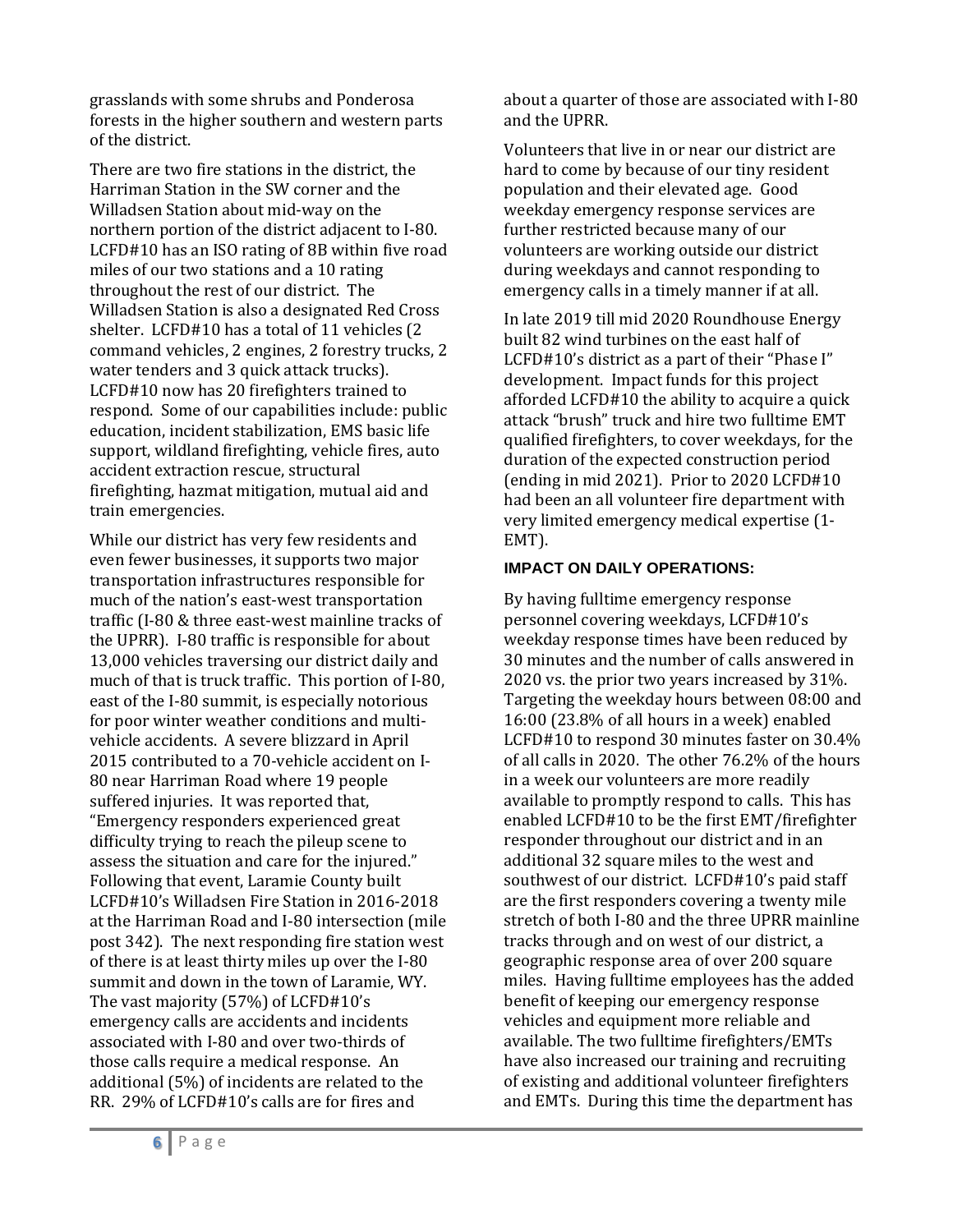grasslands with some shrubs and Ponderosa forests in the higher southern and western parts of the district.

There are two fire stations in the district, the Harriman Station in the SW corner and the Willadsen Station about mid-way on the northern portion of the district adjacent to I-80. LCFD#10 has an ISO rating of 8B within five road miles of our two stations and a 10 rating throughout the rest of our district. The Willadsen Station is also a designated Red Cross shelter. LCFD#10 has a total of 11 vehicles (2 command vehicles, 2 engines, 2 forestry trucks, 2 water tenders and 3 quick attack trucks). LCFD#10 now has 20 firefighters trained to respond. Some of our capabilities include: public education, incident stabilization, EMS basic life support, wildland firefighting, vehicle fires, auto accident extraction rescue, structural firefighting, hazmat mitigation, mutual aid and train emergencies.

While our district has very few residents and even fewer businesses, it supports two major transportation infrastructures responsible for much of the nation's east-west transportation traffic (I-80 & three east-west mainline tracks of the UPRR). I-80 traffic is responsible for about 13,000 vehicles traversing our district daily and much of that is truck traffic. This portion of I-80, east of the I-80 summit, is especially notorious for poor winter weather conditions and multivehicle accidents. A severe blizzard in April 2015 contributed to a 70-vehicle accident on I-80 near Harriman Road where 19 people suffered injuries. It was reported that, "Emergency responders experienced great difficulty trying to reach the pileup scene to assess the situation and care for the injured." Following that event, Laramie County built LCFD#10's Willadsen Fire Station in 2016-2018 at the Harriman Road and I-80 intersection (mile post 342). The next responding fire station west of there is at least thirty miles up over the I-80 summit and down in the town of Laramie, WY. The vast majority (57%) of LCFD#10's emergency calls are accidents and incidents associated with I-80 and over two-thirds of those calls require a medical response. An additional (5%) of incidents are related to the RR. 29% of LCFD#10's calls are for fires and

about a quarter of those are associated with I-80 and the UPRR.

Volunteers that live in or near our district are hard to come by because of our tiny resident population and their elevated age. Good weekday emergency response services are further restricted because many of our volunteers are working outside our district during weekdays and cannot responding to emergency calls in a timely manner if at all.

In late 2019 till mid 2020 Roundhouse Energy built 82 wind turbines on the east half of LCFD#10's district as a part of their "Phase I" development. Impact funds for this project afforded LCFD#10 the ability to acquire a quick attack "brush" truck and hire two fulltime EMT qualified firefighters, to cover weekdays, for the duration of the expected construction period (ending in mid 2021). Prior to 2020 LCFD#10 had been an all volunteer fire department with very limited emergency medical expertise (1- EMT).

#### **IMPACT ON DAILY OPERATIONS:**

By having fulltime emergency response personnel covering weekdays, LCFD#10's weekday response times have been reduced by 30 minutes and the number of calls answered in 2020 vs. the prior two years increased by 31%. Targeting the weekday hours between 08:00 and 16:00 (23.8% of all hours in a week) enabled LCFD#10 to respond 30 minutes faster on 30.4% of all calls in 2020. The other 76.2% of the hours in a week our volunteers are more readily available to promptly respond to calls. This has enabled LCFD#10 to be the first EMT/firefighter responder throughout our district and in an additional 32 square miles to the west and southwest of our district. LCFD#10's paid staff are the first responders covering a twenty mile stretch of both I-80 and the three UPRR mainline tracks through and on west of our district, a geographic response area of over 200 square miles. Having fulltime employees has the added benefit of keeping our emergency response vehicles and equipment more reliable and available. The two fulltime firefighters/EMTs have also increased our training and recruiting of existing and additional volunteer firefighters and EMTs. During this time the department has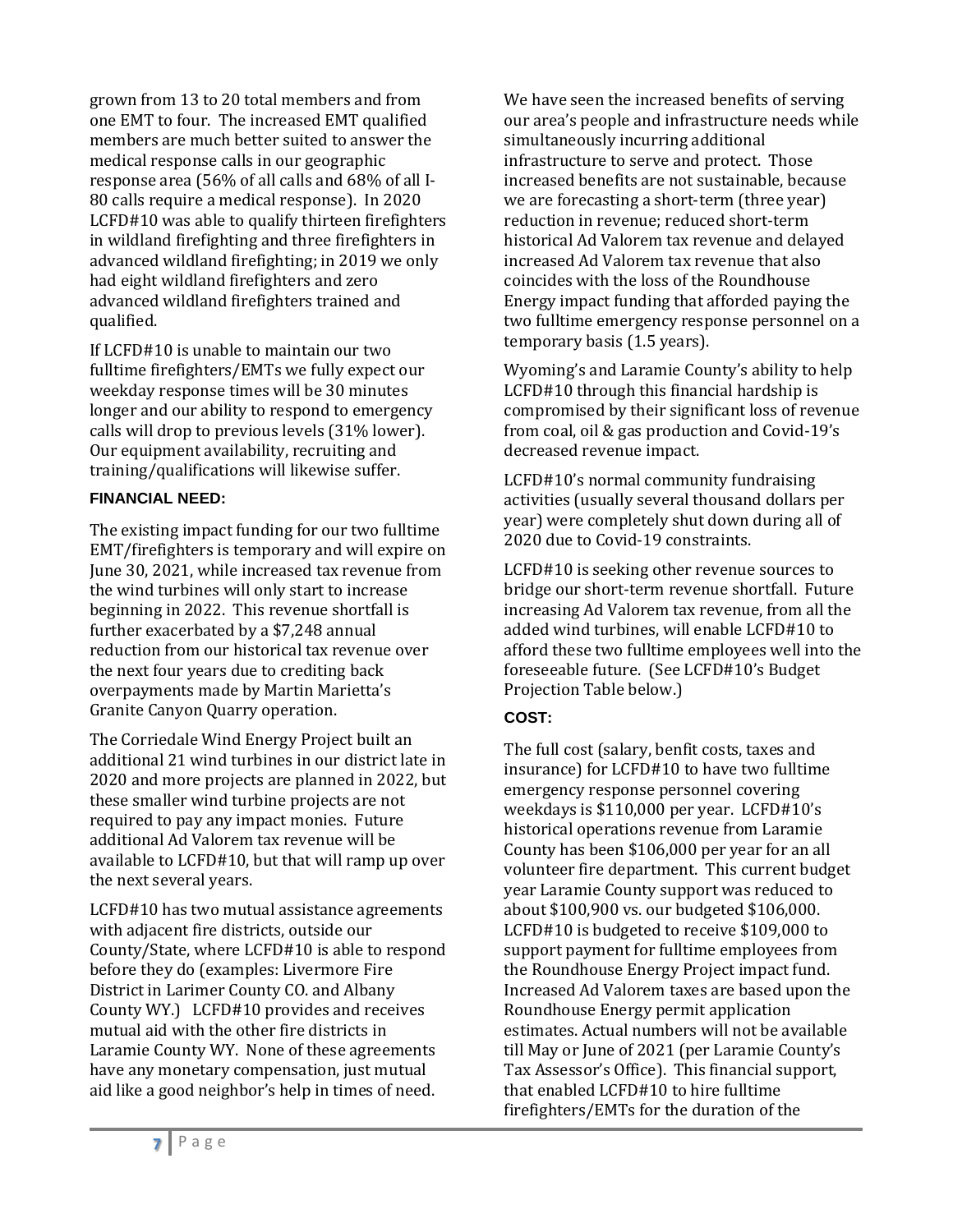grown from 13 to 20 total members and from one EMT to four. The increased EMT qualified members are much better suited to answer the medical response calls in our geographic response area (56% of all calls and 68% of all I-80 calls require a medical response). In 2020 LCFD#10 was able to qualify thirteen firefighters in wildland firefighting and three firefighters in advanced wildland firefighting; in 2019 we only had eight wildland firefighters and zero advanced wildland firefighters trained and qualified.

If LCFD#10 is unable to maintain our two fulltime firefighters/EMTs we fully expect our weekday response times will be 30 minutes longer and our ability to respond to emergency calls will drop to previous levels (31% lower). Our equipment availability, recruiting and training/qualifications will likewise suffer.

#### **FINANCIAL NEED:**

The existing impact funding for our two fulltime EMT/firefighters is temporary and will expire on June 30, 2021, while increased tax revenue from the wind turbines will only start to increase beginning in 2022. This revenue shortfall is further exacerbated by a \$7,248 annual reduction from our historical tax revenue over the next four years due to crediting back overpayments made by Martin Marietta's Granite Canyon Quarry operation.

The Corriedale Wind Energy Project built an additional 21 wind turbines in our district late in 2020 and more projects are planned in 2022, but these smaller wind turbine projects are not required to pay any impact monies. Future additional Ad Valorem tax revenue will be available to LCFD#10, but that will ramp up over the next several years.

LCFD#10 has two mutual assistance agreements with adjacent fire districts, outside our County/State, where LCFD#10 is able to respond before they do (examples: Livermore Fire District in Larimer County CO. and Albany County WY.) LCFD#10 provides and receives mutual aid with the other fire districts in Laramie County WY. None of these agreements have any monetary compensation, just mutual aid like a good neighbor's help in times of need.

We have seen the increased benefits of serving our area's people and infrastructure needs while simultaneously incurring additional infrastructure to serve and protect. Those increased benefits are not sustainable, because we are forecasting a short-term (three year) reduction in revenue; reduced short-term historical Ad Valorem tax revenue and delayed increased Ad Valorem tax revenue that also coincides with the loss of the Roundhouse Energy impact funding that afforded paying the two fulltime emergency response personnel on a temporary basis (1.5 years).

Wyoming's and Laramie County's ability to help LCFD#10 through this financial hardship is compromised by their significant loss of revenue from coal, oil & gas production and Covid-19's decreased revenue impact.

LCFD#10's normal community fundraising activities (usually several thousand dollars per year) were completely shut down during all of 2020 due to Covid-19 constraints.

LCFD#10 is seeking other revenue sources to bridge our short-term revenue shortfall. Future increasing Ad Valorem tax revenue, from all the added wind turbines, will enable LCFD#10 to afford these two fulltime employees well into the foreseeable future. (See LCFD#10's Budget Projection Table below.)

#### **COST:**

The full cost (salary, benfit costs, taxes and insurance) for LCFD#10 to have two fulltime emergency response personnel covering weekdays is \$110,000 per year. LCFD#10's historical operations revenue from Laramie County has been \$106,000 per year for an all volunteer fire department. This current budget year Laramie County support was reduced to about \$100,900 vs. our budgeted \$106,000. LCFD#10 is budgeted to receive \$109,000 to support payment for fulltime employees from the Roundhouse Energy Project impact fund. Increased Ad Valorem taxes are based upon the Roundhouse Energy permit application estimates. Actual numbers will not be available till May or June of 2021 (per Laramie County's Tax Assessor's Office). This financial support, that enabled LCFD#10 to hire fulltime firefighters/EMTs for the duration of the